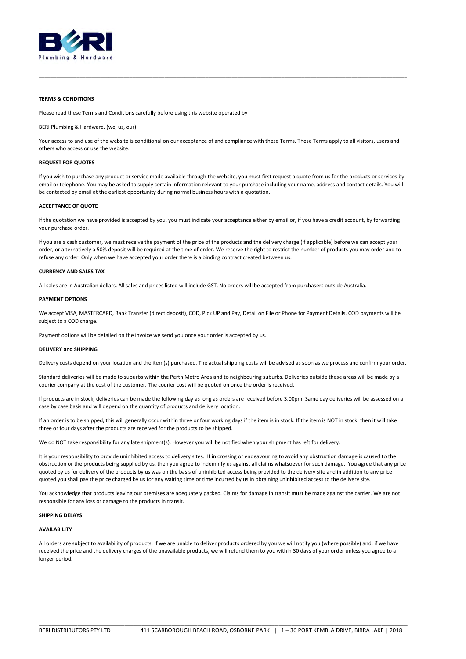

# **TERMS & CONDITIONS**

Please read these Terms and Conditions carefully before using this website operated by

BERI Plumbing & Hardware. (we, us, our)

Your access to and use of the website is conditional on our acceptance of and compliance with these Terms. These Terms apply to all visitors, users and others who access or use the website.

**\_\_\_\_\_\_\_\_\_\_\_\_\_\_\_\_\_\_\_\_\_\_\_\_\_\_\_\_\_\_\_\_\_\_\_\_\_\_\_\_\_\_\_\_\_\_\_\_\_\_\_\_\_\_\_\_\_\_\_\_\_\_\_\_\_\_\_\_\_\_\_\_\_\_\_\_\_\_\_\_\_\_\_\_\_\_\_\_\_\_\_\_\_\_\_\_\_\_\_\_\_\_\_\_\_\_\_\_\_\_\_\_\_\_\_\_\_\_\_\_\_\_\_\_\_\_** 

## **REQUEST FOR QUOTES**

If you wish to purchase any product or service made available through the website, you must first request a quote from us for the products or services by email or telephone. You may be asked to supply certain information relevant to your purchase including your name, address and contact details. You will be contacted by email at the earliest opportunity during normal business hours with a quotation.

#### **ACCEPTANCE OF QUOTE**

If the quotation we have provided is accepted by you, you must indicate your acceptance either by email or, if you have a credit account, by forwarding your purchase order.

If you are a cash customer, we must receive the payment of the price of the products and the delivery charge (if applicable) before we can accept your order, or alternatively a 50% deposit will be required at the time of order. We reserve the right to restrict the number of products you may order and to refuse any order. Only when we have accepted your order there is a binding contract created between us.

## **CURRENCY AND SALES TAX**

All sales are in Australian dollars. All sales and prices listed will include GST. No orders will be accepted from purchasers outside Australia.

### **PAYMENT OPTIONS**

We accept VISA, MASTERCARD, Bank Transfer (direct deposit), COD, Pick UP and Pay, Detail on File or Phone for Payment Details. COD payments will be subject to a COD charge.

Payment options will be detailed on the invoice we send you once your order is accepted by us.

#### **DELIVERY and SHIPPING**

Delivery costs depend on your location and the item(s) purchased. The actual shipping costs will be advised as soon as we process and confirm your order.

Standard deliveries will be made to suburbs within the Perth Metro Area and to neighbouring suburbs. Deliveries outside these areas will be made by a courier company at the cost of the customer. The courier cost will be quoted on once the order is received.

If products are in stock, deliveries can be made the following day as long as orders are received before 3.00pm. Same day deliveries will be assessed on a case by case basis and will depend on the quantity of products and delivery location.

If an order is to be shipped, this will generally occur within three or four working days if the item is in stock. If the item is NOT in stock, then it will take three or four days after the products are received for the products to be shipped.

We do NOT take responsibility for any late shipment(s). However you will be notified when your shipment has left for delivery.

It is your responsibility to provide uninhibited access to delivery sites. If in crossing or endeavouring to avoid any obstruction damage is caused to the obstruction or the products being supplied by us, then you agree to indemnify us against all claims whatsoever for such damage. You agree that any price quoted by us for delivery of the products by us was on the basis of uninhibited access being provided to the delivery site and in addition to any price quoted you shall pay the price charged by us for any waiting time or time incurred by us in obtaining uninhibited access to the delivery site.

You acknowledge that products leaving our premises are adequately packed. Claims for damage in transit must be made against the carrier. We are not responsible for any loss or damage to the products in transit.

## **SHIPPING DELAYS**

### **AVAILABILITY**

All orders are subject to availability of products. If we are unable to deliver products ordered by you we will notify you (where possible) and, if we have received the price and the delivery charges of the unavailable products, we will refund them to you within 30 days of your order unless you agree to a longer period.

\_\_\_\_\_\_\_\_\_\_\_\_\_\_\_\_\_\_\_\_\_\_\_\_\_\_\_\_\_\_\_\_\_\_\_\_\_\_\_\_\_\_\_\_\_\_\_\_\_\_\_\_\_\_\_\_\_\_\_\_\_\_\_\_\_\_\_\_\_\_\_\_\_\_\_\_\_\_\_\_\_\_\_\_\_\_